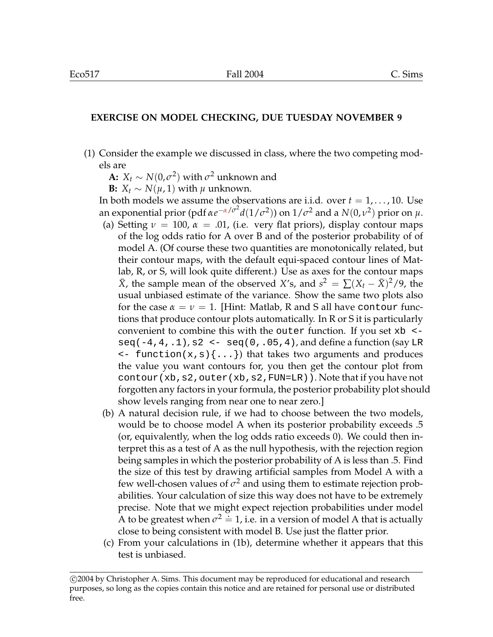## **EXERCISE ON MODEL CHECKING, DUE TUESDAY NOVEMBER 9**

(1) Consider the example we discussed in class, where the two competing models are

**A:**  $X_t \sim N(0, \sigma^2)$  with  $\sigma^2$  unknown and

**B:**  $X_t \sim N(\mu, 1)$  with  $\mu$  unknown.

In both models we assume the observations are i.i.d. over  $t = 1, \ldots, 10$ . Use an exponential prior (pdf  $\alpha e^{-\alpha/\sigma^2} d(1/\sigma^2)$ ) on  $1/\sigma^2$  and a  $N(0,\nu^2)$  prior on  $\mu$ .

- (a) Setting  $\nu = 100$ ,  $\alpha = .01$ , (i.e. very flat priors), display contour maps of the log odds ratio for A over B and of the posterior probability of of model A. (Of course these two quantities are monotonically related, but their contour maps, with the default equi-spaced contour lines of Matlab, R, or S, will look quite different.) Use as axes for the contour maps  $\bar{X}$ , the sample mean of the observed *X*'s, and  $s^2 = \sum (X_t - \bar{X})^2/9$ , the usual unbiased estimate of the variance. Show the same two plots also for the case  $\alpha = \nu = 1$ . [Hint: Matlab, R and S all have contour functions that produce contour plots automatically. In R or S it is particularly convenient to combine this with the outer function. If you set xb < seq( $-4,4,1$ ),  $s2 < -$  seq( $0,0.05,4$ ), and define a function (say LR  $\langle$  - function(x, s) $\{ \ldots \}$ ) that takes two arguments and produces the value you want contours for, you then get the contour plot from contour(xb,  $s2$ , outer(xb,  $s2$ , FUN=LR)). Note that if you have not forgotten any factors in your formula, the posterior probability plot should show levels ranging from near one to near zero.]
- (b) A natural decision rule, if we had to choose between the two models, would be to choose model A when its posterior probability exceeds .5 (or, equivalently, when the log odds ratio exceeds 0). We could then interpret this as a test of A as the null hypothesis, with the rejection region being samples in which the posterior probability of A is less than .5. Find the size of this test by drawing artificial samples from Model A with a few well-chosen values of  $\sigma^2$  and using them to estimate rejection probabilities. Your calculation of size this way does not have to be extremely precise. Note that we might expect rejection probabilities under model A to be greatest when  $\sigma^2 \doteq 1$ , i.e. in a version of model A that is actually close to being consistent with model B. Use just the flatter prior.
- (c) From your calculations in (1b), determine whether it appears that this test is unbiased.

c 2004 by Christopher A. Sims. This document may be reproduced for educational and research purposes, so long as the copies contain this notice and are retained for personal use or distributed free.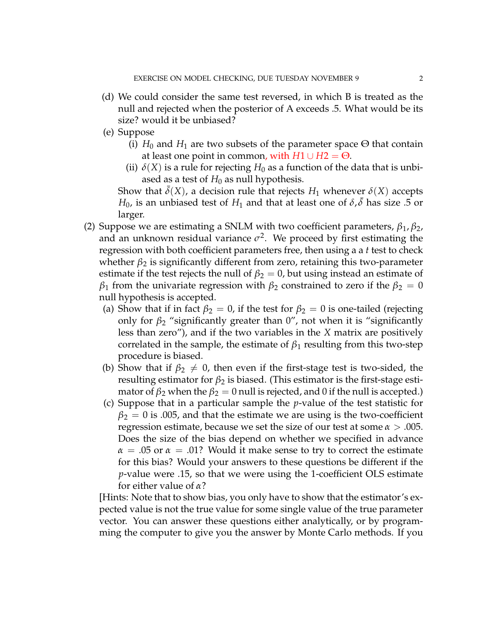- (d) We could consider the same test reversed, in which B is treated as the null and rejected when the posterior of A exceeds .5. What would be its size? would it be unbiased?
- (e) Suppose
	- (i)  $H_0$  and  $H_1$  are two subsets of the parameter space  $\Theta$  that contain at least one point in common, with  $H1 \cup H2 = \Theta$ .
	- (ii)  $\delta(X)$  is a rule for rejecting  $H_0$  as a function of the data that is unbiased as a test of  $H_0$  as null hypothesis.

Show that  $\delta(X)$ , a decision rule that rejects  $H_1$  whenever  $\delta(X)$  accepts  $H_0$ , is an unbiased test of  $H_1$  and that at least one of  $\delta, \bar{\delta}$  has size .5 or larger.

- (2) Suppose we are estimating a SNLM with two coefficient parameters,  $\beta_1$ ,  $\beta_2$ , and an unknown residual variance  $\sigma^2$ . We proceed by first estimating the regression with both coefficient parameters free, then using a a *t* test to check whether  $\beta_2$  is significantly different from zero, retaining this two-parameter estimate if the test rejects the null of  $\beta_2 = 0$ , but using instead an estimate of  $\beta_1$  from the univariate regression with  $\beta_2$  constrained to zero if the  $\beta_2 = 0$ null hypothesis is accepted.
	- (a) Show that if in fact  $\beta_2 = 0$ , if the test for  $\beta_2 = 0$  is one-tailed (rejecting only for  $\beta_2$  "significantly greater than 0", not when it is "significantly less than zero"), and if the two variables in the *X* matrix are positively correlated in the sample, the estimate of  $\beta_1$  resulting from this two-step procedure is biased.
	- (b) Show that if  $\beta_2 \neq 0$ , then even if the first-stage test is two-sided, the resulting estimator for  $\beta_2$  is biased. (This estimator is the first-stage estimator of  $\beta_2$  when the  $\beta_2 = 0$  null is rejected, and 0 if the null is accepted.)
	- (c) Suppose that in a particular sample the *p*-value of the test statistic for  $\beta_2 = 0$  is .005, and that the estimate we are using is the two-coefficient regression estimate, because we set the size of our test at some  $\alpha > .005$ . Does the size of the bias depend on whether we specified in advance  $\alpha = .05$  or  $\alpha = .01$ ? Would it make sense to try to correct the estimate for this bias? Would your answers to these questions be different if the *p*-value were .15, so that we were using the 1-coefficient OLS estimate for either value of  $\alpha$ ?

[Hints: Note that to show bias, you only have to show that the estimator's expected value is not the true value for some single value of the true parameter vector. You can answer these questions either analytically, or by programming the computer to give you the answer by Monte Carlo methods. If you